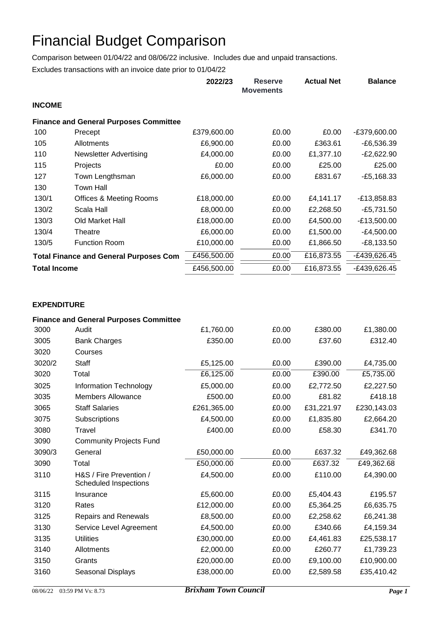## Financial Budget Comparison

Comparison between 01/04/22 and 08/06/22 inclusive. Includes due and unpaid transactions.

Excludes transactions with an invoice date prior to 01/04/22

|                                               |                                               | 2022/23     | <b>Reserve</b><br><b>Movements</b> | <b>Actual Net</b> | <b>Balance</b> |
|-----------------------------------------------|-----------------------------------------------|-------------|------------------------------------|-------------------|----------------|
| <b>INCOME</b>                                 |                                               |             |                                    |                   |                |
|                                               | <b>Finance and General Purposes Committee</b> |             |                                    |                   |                |
| 100                                           | Precept                                       | £379,600.00 | £0.00                              | £0.00             | -£379,600.00   |
| 105                                           | Allotments                                    | £6,900.00   | £0.00                              | £363.61           | $-E6,536.39$   |
| 110                                           | <b>Newsletter Advertising</b>                 | £4,000.00   | £0.00                              | £1,377.10         | $-E2,622.90$   |
| 115                                           | Projects                                      | £0.00       | £0.00                              | £25.00            | £25.00         |
| 127                                           | Town Lengthsman                               | £6,000.00   | £0.00                              | £831.67           | $-E5,168.33$   |
| 130                                           | <b>Town Hall</b>                              |             |                                    |                   |                |
| 130/1                                         | <b>Offices &amp; Meeting Rooms</b>            | £18,000.00  | £0.00                              | £4,141.17         | $-E13,858.83$  |
| 130/2                                         | Scala Hall                                    | £8,000.00   | £0.00                              | £2,268.50         | $-E5,731.50$   |
| 130/3                                         | Old Market Hall                               | £18,000.00  | £0.00                              | £4,500.00         | $-£13,500.00$  |
| 130/4                                         | Theatre                                       | £6,000.00   | £0.00                              | £1,500.00         | $-E4,500.00$   |
| 130/5                                         | <b>Function Room</b>                          | £10,000.00  | £0.00                              | £1,866.50         | $-E8,133.50$   |
| <b>Total Finance and General Purposes Com</b> |                                               | £456,500.00 | £0.00                              | £16,873.55        | -£439,626.45   |
| <b>Total Income</b>                           |                                               | £456,500.00 | £0.00                              | £16,873.55        | -£439,626.45   |

## **EXPENDITURE**

|        | <b>Finance and General Purposes Committee</b>    |             |       |            |             |
|--------|--------------------------------------------------|-------------|-------|------------|-------------|
| 3000   | Audit                                            | £1,760.00   | £0.00 | £380.00    | £1,380.00   |
| 3005   | <b>Bank Charges</b>                              | £350.00     | £0.00 | £37.60     | £312.40     |
| 3020   | Courses                                          |             |       |            |             |
| 3020/2 | Staff                                            | £5,125.00   | £0.00 | £390.00    | £4,735.00   |
| 3020   | Total                                            | £6,125.00   | £0.00 | £390.00    | £5,735.00   |
| 3025   | Information Technology                           | £5,000.00   | £0.00 | £2,772.50  | £2,227.50   |
| 3035   | <b>Members Allowance</b>                         | £500.00     | £0.00 | £81.82     | £418.18     |
| 3065   | <b>Staff Salaries</b>                            | £261,365.00 | £0.00 | £31,221.97 | £230,143.03 |
| 3075   | Subscriptions                                    | £4,500.00   | £0.00 | £1,835.80  | £2,664.20   |
| 3080   | Travel                                           | £400.00     | £0.00 | £58.30     | £341.70     |
| 3090   | <b>Community Projects Fund</b>                   |             |       |            |             |
| 3090/3 | General                                          | £50,000.00  | £0.00 | £637.32    | £49,362.68  |
| 3090   | Total                                            | £50,000.00  | £0.00 | £637.32    | £49,362.68  |
| 3110   | H&S / Fire Prevention /<br>Scheduled Inspections | £4,500.00   | £0.00 | £110.00    | £4,390.00   |
| 3115   | Insurance                                        | £5,600.00   | £0.00 | £5,404.43  | £195.57     |
| 3120   | Rates                                            | £12,000.00  | £0.00 | £5,364.25  | £6,635.75   |
| 3125   | <b>Repairs and Renewals</b>                      | £8,500.00   | £0.00 | £2,258.62  | £6,241.38   |
| 3130   | Service Level Agreement                          | £4,500.00   | £0.00 | £340.66    | £4,159.34   |
| 3135   | <b>Utilities</b>                                 | £30,000.00  | £0.00 | £4,461.83  | £25,538.17  |
| 3140   | Allotments                                       | £2,000.00   | £0.00 | £260.77    | £1,739.23   |
| 3150   | Grants                                           | £20,000.00  | £0.00 | £9,100.00  | £10,900.00  |
| 3160   | Seasonal Displays                                | £38,000.00  | £0.00 | £2,589.58  | £35,410.42  |